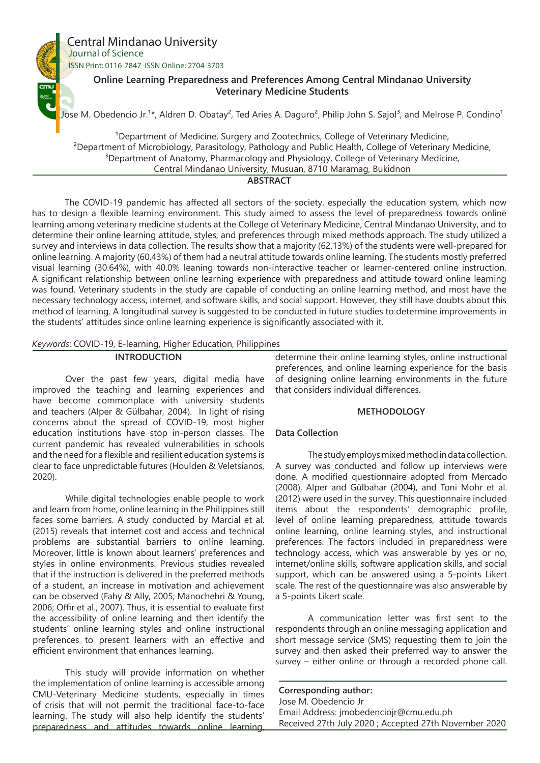

The COVID-19 pandemic has affected all sectors of the society, especially the education system, which now has to design a flexible learning environment. This study aimed to assess the level of preparedness towards online learning among veterinary medicine students at the College of Veterinary Medicine, Central Mindanao University, and to determine their online learning attitude, styles, and preferences through mixed methods approach. The study utilized a survey and interviews in data collection. The results show that a majority (62.13%) of the students were well-prepared for online learning. A majority (60.43%) of them had a neutral attitude towards online learning. The students mostly preferred visual learning (30.64%), with 40.0% leaning towards non-interactive teacher or learner-centered online instruction. A significant relationship between online learning experience with preparedness and attitude toward online learning was found. Veterinary students in the study are capable of conducting an online learning method, and most have the necessary technology access, internet, and software skills, and social support. However, they still have doubts about this method of learning. A longitudinal survey is suggested to be conducted in future studies to determine improvements in the students' attitudes since online learning experience is significantly associated with it.

## *Keywords*: COVID-19, E-learning, Higher Education, Philippines

### **INTRODUCTION**

Over the past few years, digital media have improved the teaching and learning experiences and have become commonplace with university students and teachers (Alper & Gülbahar, 2004). In light of rising concerns about the spread of COVID-19, most higher education institutions have stop in-person classes. The current pandemic has revealed vulnerabilities in schools and the need for a flexible and resilient education systems is clear to face unpredictable futures (Houlden & Veletsianos, 2020).

While digital technologies enable people to work and learn from home, online learning in the Philippines still faces some barriers. A study conducted by Marcial et al. (2015) reveals that internet cost and access and technical problems are substantial barriers to online learning. Moreover, little is known about learners' preferences and styles in online environments. Previous studies revealed that if the instruction is delivered in the preferred methods of a student, an increase in motivation and achievement can be observed (Fahy & Ally, 2005; Manochehri & Young, 2006; Offir et al., 2007). Thus, it is essential to evaluate first the accessibility of online learning and then identify the students' online learning styles and online instructional preferences to present learners with an effective and efficient environment that enhances learning.

This study will provide information on whether the implementation of online learning is accessible among CMU-Veterinary Medicine students, especially in times of crisis that will not permit the traditional face-to-face learning. The study will also help identify the students' preparedness and attitudes towards online learning, determine their online learning styles, online instructional preferences, and online learning experience for the basis of designing online learning environments in the future that considers individual differences.

# **METHODOLOGY**

# **Data Collection**

The study employs mixed method in data collection. A survey was conducted and follow up interviews were done. A modified questionnaire adopted from Mercado (2008), Alper and Gülbahar (2004), and Toni Mohr et al. (2012) were used in the survey. This questionnaire included items about the respondents' demographic profile, level of online learning preparedness, attitude towards online learning, online learning styles, and instructional preferences. The factors included in preparedness were technology access, which was answerable by yes or no, internet/online skills, software application skills, and social support, which can be answered using a 5-points Likert scale. The rest of the questionnaire was also answerable by a 5-points Likert scale.

A communication letter was first sent to the respondents through an online messaging application and short message service (SMS) requesting them to join the survey and then asked their preferred way to answer the survey – either online or through a recorded phone call.

**Corresponding author:** Jose M. Obedencio Jr Email Address: jmobedenciojr@cmu.edu.ph Received 27th July 2020 ; Accepted 27th November 2020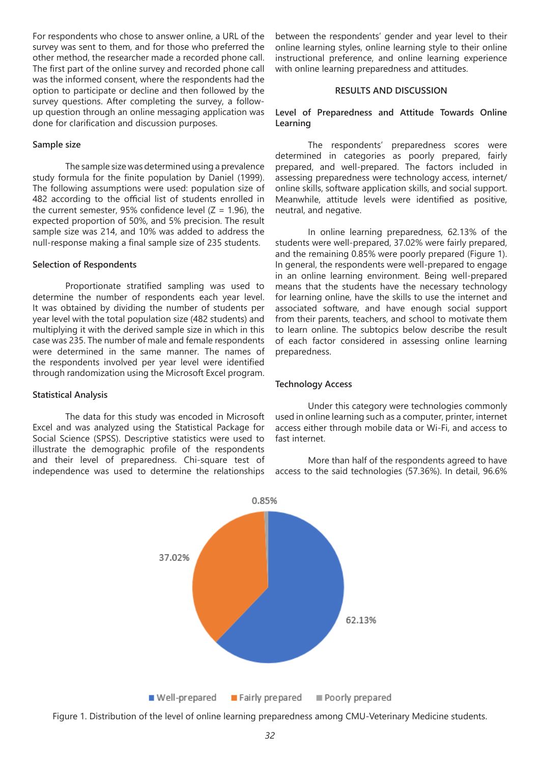For respondents who chose to answer online, a URL of the survey was sent to them, and for those who preferred the other method, the researcher made a recorded phone call. The first part of the online survey and recorded phone call was the informed consent, where the respondents had the option to participate or decline and then followed by the survey questions. After completing the survey, a followup question through an online messaging application was done for clarification and discussion purposes.

#### **Sample size**

The sample size was determined using a prevalence study formula for the finite population by Daniel (1999). The following assumptions were used: population size of 482 according to the official list of students enrolled in the current semester, 95% confidence level ( $Z = 1.96$ ), the expected proportion of 50%, and 5% precision. The result sample size was 214, and 10% was added to address the null-response making a final sample size of 235 students.

#### **Selection of Respondents**

Proportionate stratified sampling was used to determine the number of respondents each year level. It was obtained by dividing the number of students per year level with the total population size (482 students) and multiplying it with the derived sample size in which in this case was 235. The number of male and female respondents were determined in the same manner. The names of the respondents involved per year level were identified through randomization using the Microsoft Excel program.

#### **Statistical Analysis**

The data for this study was encoded in Microsoft Excel and was analyzed using the Statistical Package for Social Science (SPSS). Descriptive statistics were used to illustrate the demographic profile of the respondents and their level of preparedness. Chi-square test of independence was used to determine the relationships between the respondents' gender and year level to their online learning styles, online learning style to their online instructional preference, and online learning experience with online learning preparedness and attitudes.

## **RESULTS AND DISCUSSION**

# **Level of Preparedness and Attitude Towards Online Learning**

The respondents' preparedness scores were determined in categories as poorly prepared, fairly prepared, and well-prepared. The factors included in assessing preparedness were technology access, internet/ online skills, software application skills, and social support. Meanwhile, attitude levels were identified as positive, neutral, and negative.

In online learning preparedness, 62.13% of the students were well-prepared, 37.02% were fairly prepared, and the remaining 0.85% were poorly prepared (Figure 1). In general, the respondents were well-prepared to engage in an online learning environment. Being well-prepared means that the students have the necessary technology for learning online, have the skills to use the internet and associated software, and have enough social support from their parents, teachers, and school to motivate them to learn online. The subtopics below describe the result of each factor considered in assessing online learning preparedness.

### **Technology Access**

Under this category were technologies commonly used in online learning such as a computer, printer, internet access either through mobile data or Wi-Fi, and access to fast internet.

More than half of the respondents agreed to have access to the said technologies (57.36%). In detail, 96.6%



Figure 1. Distribution of the level of online learning preparedness among CMU-Veterinary Medicine students.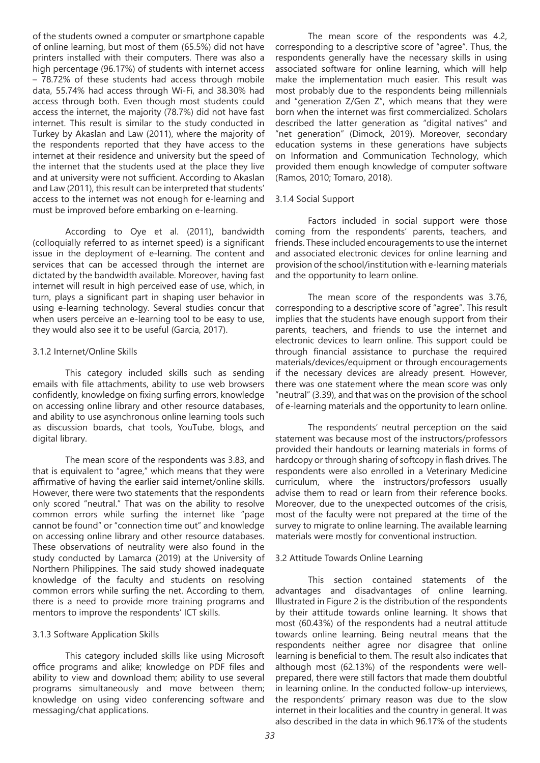of the students owned a computer or smartphone capable of online learning, but most of them (65.5%) did not have printers installed with their computers. There was also a high percentage (96.17%) of students with internet access – 78.72% of these students had access through mobile data, 55.74% had access through Wi-Fi, and 38.30% had access through both. Even though most students could access the internet, the majority (78.7%) did not have fast internet. This result is similar to the study conducted in Turkey by Akaslan and Law (2011), where the majority of the respondents reported that they have access to the internet at their residence and university but the speed of the internet that the students used at the place they live and at university were not sufficient. According to Akaslan and Law (2011), this result can be interpreted that students' access to the internet was not enough for e-learning and must be improved before embarking on e-learning.

According to Oye et al. (2011), bandwidth (colloquially referred to as internet speed) is a significant issue in the deployment of e-learning. The content and services that can be accessed through the internet are dictated by the bandwidth available. Moreover, having fast internet will result in high perceived ease of use, which, in turn, plays a significant part in shaping user behavior in using e-learning technology. Several studies concur that when users perceive an e-learning tool to be easy to use, they would also see it to be useful (Garcia, 2017).

## 3.1.2 Internet/Online Skills

This category included skills such as sending emails with file attachments, ability to use web browsers confidently, knowledge on fixing surfing errors, knowledge on accessing online library and other resource databases, and ability to use asynchronous online learning tools such as discussion boards, chat tools, YouTube, blogs, and digital library.

The mean score of the respondents was 3.83, and that is equivalent to "agree," which means that they were affirmative of having the earlier said internet/online skills. However, there were two statements that the respondents only scored "neutral." That was on the ability to resolve common errors while surfing the internet like "page cannot be found" or "connection time out" and knowledge on accessing online library and other resource databases. These observations of neutrality were also found in the study conducted by Lamarca (2019) at the University of Northern Philippines. The said study showed inadequate knowledge of the faculty and students on resolving common errors while surfing the net. According to them, there is a need to provide more training programs and mentors to improve the respondents' ICT skills.

# 3.1.3 Software Application Skills

This category included skills like using Microsoft office programs and alike; knowledge on PDF files and ability to view and download them; ability to use several programs simultaneously and move between them; knowledge on using video conferencing software and messaging/chat applications.

The mean score of the respondents was 4.2, corresponding to a descriptive score of "agree". Thus, the respondents generally have the necessary skills in using associated software for online learning, which will help make the implementation much easier. This result was most probably due to the respondents being millennials and "generation Z/Gen Z", which means that they were born when the internet was first commercialized. Scholars described the latter generation as "digital natives" and "net generation" (Dimock, 2019). Moreover, secondary education systems in these generations have subjects on Information and Communication Technology, which provided them enough knowledge of computer software (Ramos, 2010; Tomaro, 2018).

## 3.1.4 Social Support

Factors included in social support were those coming from the respondents' parents, teachers, and friends. These included encouragements to use the internet and associated electronic devices for online learning and provision of the school/institution with e-learning materials and the opportunity to learn online.

The mean score of the respondents was 3.76, corresponding to a descriptive score of "agree". This result implies that the students have enough support from their parents, teachers, and friends to use the internet and electronic devices to learn online. This support could be through financial assistance to purchase the required materials/devices/equipment or through encouragements if the necessary devices are already present. However, there was one statement where the mean score was only "neutral" (3.39), and that was on the provision of the school of e-learning materials and the opportunity to learn online.

The respondents' neutral perception on the said statement was because most of the instructors/professors provided their handouts or learning materials in forms of hardcopy or through sharing of softcopy in flash drives. The respondents were also enrolled in a Veterinary Medicine curriculum, where the instructors/professors usually advise them to read or learn from their reference books. Moreover, due to the unexpected outcomes of the crisis, most of the faculty were not prepared at the time of the survey to migrate to online learning. The available learning materials were mostly for conventional instruction.

# 3.2 Attitude Towards Online Learning

This section contained statements of the advantages and disadvantages of online learning. Illustrated in Figure 2 is the distribution of the respondents by their attitude towards online learning. It shows that most (60.43%) of the respondents had a neutral attitude towards online learning. Being neutral means that the respondents neither agree nor disagree that online learning is beneficial to them. The result also indicates that although most (62.13%) of the respondents were wellprepared, there were still factors that made them doubtful in learning online. In the conducted follow-up interviews, the respondents' primary reason was due to the slow internet in their localities and the country in general. It was also described in the data in which 96.17% of the students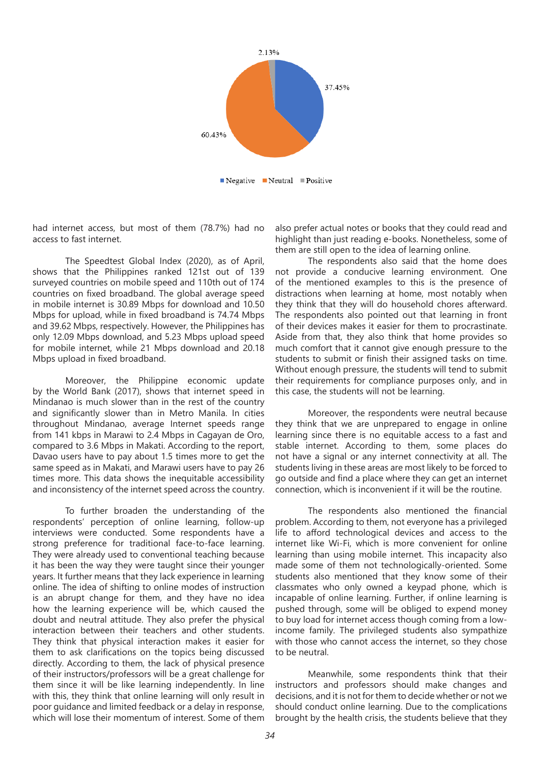

had internet access, but most of them (78.7%) had no access to fast internet.

The Speedtest Global Index (2020), as of April, shows that the Philippines ranked 121st out of 139 surveyed countries on mobile speed and 110th out of 174 countries on fixed broadband. The global average speed in mobile internet is 30.89 Mbps for download and 10.50 Mbps for upload, while in fixed broadband is 74.74 Mbps and 39.62 Mbps, respectively. However, the Philippines has only 12.09 Mbps download, and 5.23 Mbps upload speed for mobile internet, while 21 Mbps download and 20.18 Mbps upload in fixed broadband.

Moreover, the Philippine economic update by the World Bank (2017), shows that internet speed in Mindanao is much slower than in the rest of the country and significantly slower than in Metro Manila. In cities throughout Mindanao, average Internet speeds range from 141 kbps in Marawi to 2.4 Mbps in Cagayan de Oro, compared to 3.6 Mbps in Makati. According to the report, Davao users have to pay about 1.5 times more to get the same speed as in Makati, and Marawi users have to pay 26 times more. This data shows the inequitable accessibility and inconsistency of the internet speed across the country.

To further broaden the understanding of the respondents' perception of online learning, follow-up interviews were conducted. Some respondents have a strong preference for traditional face-to-face learning. They were already used to conventional teaching because it has been the way they were taught since their younger years. It further means that they lack experience in learning online. The idea of shifting to online modes of instruction is an abrupt change for them, and they have no idea how the learning experience will be, which caused the doubt and neutral attitude. They also prefer the physical interaction between their teachers and other students. They think that physical interaction makes it easier for them to ask clarifications on the topics being discussed directly. According to them, the lack of physical presence of their instructors/professors will be a great challenge for them since it will be like learning independently. In line with this, they think that online learning will only result in poor guidance and limited feedback or a delay in response, which will lose their momentum of interest. Some of them

also prefer actual notes or books that they could read and highlight than just reading e-books. Nonetheless, some of them are still open to the idea of learning online.

The respondents also said that the home does not provide a conducive learning environment. One of the mentioned examples to this is the presence of distractions when learning at home, most notably when they think that they will do household chores afterward. The respondents also pointed out that learning in front of their devices makes it easier for them to procrastinate. Aside from that, they also think that home provides so much comfort that it cannot give enough pressure to the students to submit or finish their assigned tasks on time. Without enough pressure, the students will tend to submit their requirements for compliance purposes only, and in this case, the students will not be learning.

Moreover, the respondents were neutral because they think that we are unprepared to engage in online learning since there is no equitable access to a fast and stable internet. According to them, some places do not have a signal or any internet connectivity at all. The students living in these areas are most likely to be forced to go outside and find a place where they can get an internet connection, which is inconvenient if it will be the routine.

The respondents also mentioned the financial problem. According to them, not everyone has a privileged life to afford technological devices and access to the internet like Wi-Fi, which is more convenient for online learning than using mobile internet. This incapacity also made some of them not technologically-oriented. Some students also mentioned that they know some of their classmates who only owned a keypad phone, which is incapable of online learning. Further, if online learning is pushed through, some will be obliged to expend money to buy load for internet access though coming from a lowincome family. The privileged students also sympathize with those who cannot access the internet, so they chose to be neutral.

Meanwhile, some respondents think that their instructors and professors should make changes and decisions, and it is not for them to decide whether or not we should conduct online learning. Due to the complications brought by the health crisis, the students believe that they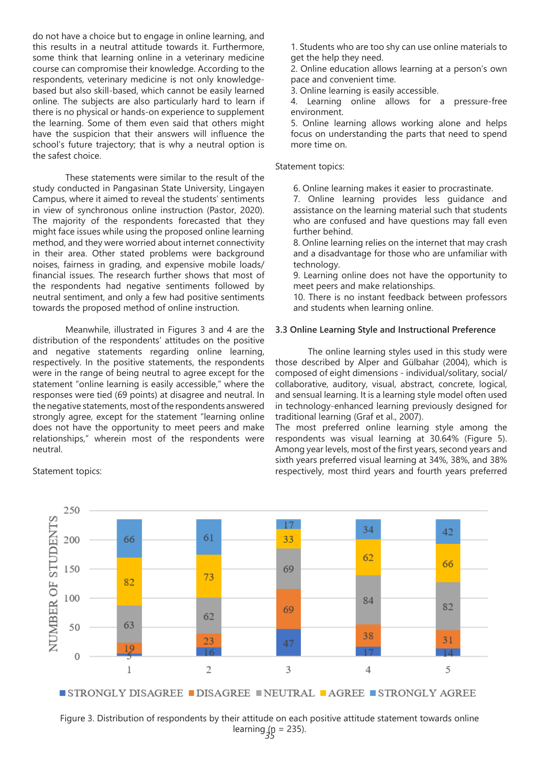do not have a choice but to engage in online learning, and this results in a neutral attitude towards it. Furthermore, some think that learning online in a veterinary medicine course can compromise their knowledge. According to the respondents, veterinary medicine is not only knowledgebased but also skill-based, which cannot be easily learned online. The subjects are also particularly hard to learn if there is no physical or hands-on experience to supplement the learning. Some of them even said that others might have the suspicion that their answers will influence the school's future trajectory; that is why a neutral option is the safest choice.

These statements were similar to the result of the study conducted in Pangasinan State University, Lingayen Campus, where it aimed to reveal the students' sentiments in view of synchronous online instruction (Pastor, 2020). The majority of the respondents forecasted that they might face issues while using the proposed online learning method, and they were worried about internet connectivity in their area. Other stated problems were background noises, fairness in grading, and expensive mobile loads/ financial issues. The research further shows that most of the respondents had negative sentiments followed by neutral sentiment, and only a few had positive sentiments towards the proposed method of online instruction.

Meanwhile, illustrated in Figures 3 and 4 are the distribution of the respondents' attitudes on the positive and negative statements regarding online learning, respectively. In the positive statements, the respondents were in the range of being neutral to agree except for the statement "online learning is easily accessible," where the responses were tied (69 points) at disagree and neutral. In the negative statements, most of the respondents answered strongly agree, except for the statement "learning online does not have the opportunity to meet peers and make relationships," wherein most of the respondents were neutral.

Statement topics:

1. Students who are too shy can use online materials to get the help they need.

2. Online education allows learning at a person's own pace and convenient time.

3. Online learning is easily accessible.

4. Learning online allows for a pressure-free environment.

5. Online learning allows working alone and helps focus on understanding the parts that need to spend more time on.

## Statement topics:

6. Online learning makes it easier to procrastinate.

7. Online learning provides less guidance and assistance on the learning material such that students who are confused and have questions may fall even further behind.

8. Online learning relies on the internet that may crash and a disadvantage for those who are unfamiliar with technology.

9. Learning online does not have the opportunity to meet peers and make relationships.

10. There is no instant feedback between professors and students when learning online.

### **3.3 Online Learning Style and Instructional Preference**

The online learning styles used in this study were those described by Alper and Gülbahar (2004), which is composed of eight dimensions - individual/solitary, social/ collaborative, auditory, visual, abstract, concrete, logical, and sensual learning. It is a learning style model often used in technology-enhanced learning previously designed for traditional learning (Graf et al., 2007).

The most preferred online learning style among the respondents was visual learning at 30.64% (Figure 5). Among year levels, most of the first years, second years and sixth years preferred visual learning at 34%, 38%, and 38% respectively, most third years and fourth years preferred



learning <sub>35</sub> = 235). Figure 3. Distribution of respondents by their attitude on each positive attitude statement towards online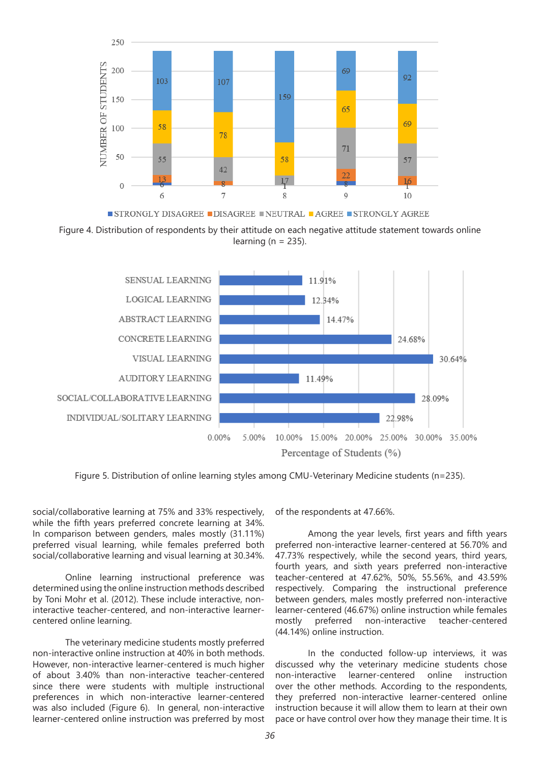

Figure 4. Distribution of respondents by their attitude on each negative attitude statement towards online learning ( $n = 235$ ).



Figure 5. Distribution of online learning styles among CMU-Veterinary Medicine students (n=235).

social/collaborative learning at 75% and 33% respectively, while the fifth years preferred concrete learning at 34%. In comparison between genders, males mostly (31.11%) preferred visual learning, while females preferred both social/collaborative learning and visual learning at 30.34%.

Online learning instructional preference was determined using the online instruction methods described by Toni Mohr et al. (2012). These include interactive, noninteractive teacher-centered, and non-interactive learnercentered online learning.

The veterinary medicine students mostly preferred non-interactive online instruction at 40% in both methods. However, non-interactive learner-centered is much higher of about 3.40% than non-interactive teacher-centered since there were students with multiple instructional preferences in which non-interactive learner-centered was also included (Figure 6). In general, non-interactive learner-centered online instruction was preferred by most of the respondents at 47.66%.

Among the year levels, first years and fifth years preferred non-interactive learner-centered at 56.70% and 47.73% respectively, while the second years, third years, fourth years, and sixth years preferred non-interactive teacher-centered at 47.62%, 50%, 55.56%, and 43.59% respectively. Comparing the instructional preference between genders, males mostly preferred non-interactive learner-centered (46.67%) online instruction while females mostly preferred non-interactive teacher-centered (44.14%) online instruction.

In the conducted follow-up interviews, it was discussed why the veterinary medicine students chose non-interactive learner-centered online instruction over the other methods. According to the respondents, they preferred non-interactive learner-centered online instruction because it will allow them to learn at their own pace or have control over how they manage their time. It is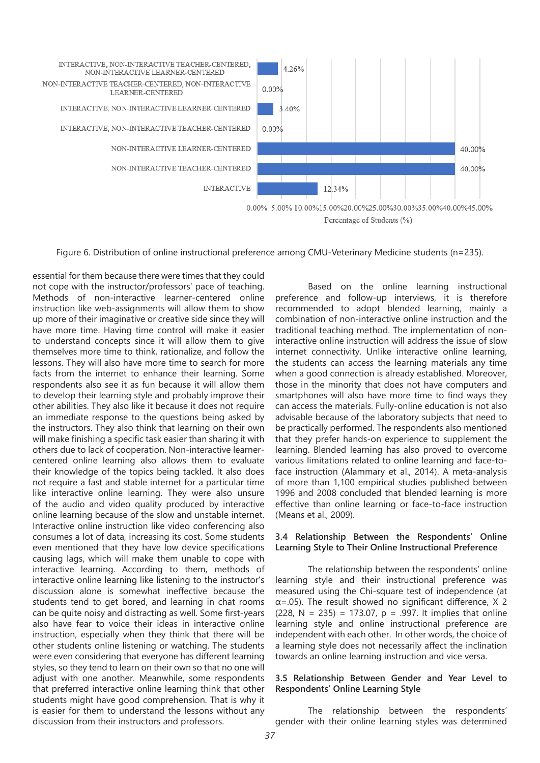

Figure 6. Distribution of online instructional preference among CMU-Veterinary Medicine students (n=235).

essential for them because there were times that they could not cope with the instructor/professors' pace of teaching. Methods of non-interactive learner-centered online instruction like web-assignments will allow them to show up more of their imaginative or creative side since they will have more time. Having time control will make it easier to understand concepts since it will allow them to give themselves more time to think, rationalize, and follow the lessons. They will also have more time to search for more facts from the internet to enhance their learning. Some respondents also see it as fun because it will allow them to develop their learning style and probably improve their other abilities. They also like it because it does not require an immediate response to the questions being asked by the instructors. They also think that learning on their own will make finishing a specific task easier than sharing it with others due to lack of cooperation. Non-interactive learnercentered online learning also allows them to evaluate their knowledge of the topics being tackled. It also does not require a fast and stable internet for a particular time like interactive online learning. They were also unsure of the audio and video quality produced by interactive online learning because of the slow and unstable internet. Interactive online instruction like video conferencing also consumes a lot of data, increasing its cost. Some students even mentioned that they have low device specifications causing lags, which will make them unable to cope with interactive learning. According to them, methods of interactive online learning like listening to the instructor's discussion alone is somewhat ineffective because the students tend to get bored, and learning in chat rooms can be quite noisy and distracting as well. Some first-years also have fear to voice their ideas in interactive online instruction, especially when they think that there will be other students online listening or watching. The students were even considering that everyone has different learning styles, so they tend to learn on their own so that no one will adjust with one another. Meanwhile, some respondents that preferred interactive online learning think that other students might have good comprehension. That is why it is easier for them to understand the lessons without any discussion from their instructors and professors.

Based on the online learning instructional preference and follow-up interviews, it is therefore recommended to adopt blended learning, mainly a combination of non-interactive online instruction and the traditional teaching method. The implementation of noninteractive online instruction will address the issue of slow internet connectivity. Unlike interactive online learning, the students can access the learning materials any time when a good connection is already established. Moreover, those in the minority that does not have computers and smartphones will also have more time to find ways they can access the materials. Fully-online education is not also advisable because of the laboratory subjects that need to be practically performed. The respondents also mentioned that they prefer hands-on experience to supplement the learning. Blended learning has also proved to overcome various limitations related to online learning and face-toface instruction (Alammary et al., 2014). A meta-analysis of more than 1,100 empirical studies published between 1996 and 2008 concluded that blended learning is more effective than online learning or face-to-face instruction (Means et al., 2009).

## **3.4 Relationship Between the Respondents' Online Learning Style to Their Online Instructional Preference**

The relationship between the respondents' online learning style and their instructional preference was measured using the Chi-square test of independence (at  $\alpha$ =.05). The result showed no significant difference, X 2 (228, N = 235) = 173.07, p = .997. It implies that online learning style and online instructional preference are independent with each other. In other words, the choice of a learning style does not necessarily affect the inclination towards an online learning instruction and vice versa.

## **3.5 Relationship Between Gender and Year Level to Respondents' Online Learning Style**

The relationship between the respondents' gender with their online learning styles was determined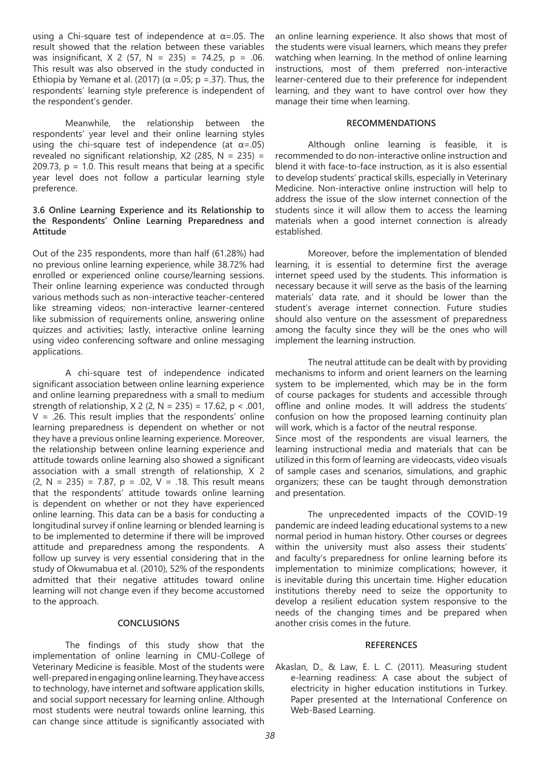using a Chi-square test of independence at  $\alpha$ =.05. The result showed that the relation between these variables was insignificant,  $X \times 2$  (57,  $N = 235$ ) = 74.25,  $p = .06$ . This result was also observed in the study conducted in Ethiopia by Yemane et al. (2017) ( $\alpha$  =.05; p =.37). Thus, the respondents' learning style preference is independent of the respondent's gender.

Meanwhile, the relationship between the respondents' year level and their online learning styles using the chi-square test of independence (at  $\alpha$ =.05) revealed no significant relationship,  $X2$  (285, N = 235) = 209.73,  $p = 1.0$ . This result means that being at a specific year level does not follow a particular learning style preference.

# **3.6 Online Learning Experience and its Relationship to the Respondents' Online Learning Preparedness and Attitude**

Out of the 235 respondents, more than half (61.28%) had no previous online learning experience, while 38.72% had enrolled or experienced online course/learning sessions. Their online learning experience was conducted through various methods such as non-interactive teacher-centered like streaming videos; non-interactive learner-centered like submission of requirements online, answering online quizzes and activities; lastly, interactive online learning using video conferencing software and online messaging applications.

A chi-square test of independence indicated significant association between online learning experience and online learning preparedness with a small to medium strength of relationship,  $X$  2 (2, N = 235) = 17.62, p < .001,  $V = .26$ . This result implies that the respondents' online learning preparedness is dependent on whether or not they have a previous online learning experience. Moreover, the relationship between online learning experience and attitude towards online learning also showed a significant association with a small strength of relationship, X 2  $(2, N = 235) = 7.87$ ,  $p = .02$ ,  $V = .18$ . This result means that the respondents' attitude towards online learning is dependent on whether or not they have experienced online learning. This data can be a basis for conducting a longitudinal survey if online learning or blended learning is to be implemented to determine if there will be improved attitude and preparedness among the respondents. A follow up survey is very essential considering that in the study of Okwumabua et al. (2010), 52% of the respondents admitted that their negative attitudes toward online learning will not change even if they become accustomed to the approach.

### **CONCLUSIONS**

The findings of this study show that the implementation of online learning in CMU-College of Veterinary Medicine is feasible. Most of the students were well-prepared in engaging online learning. They have access to technology, have internet and software application skills, and social support necessary for learning online. Although most students were neutral towards online learning, this can change since attitude is significantly associated with

an online learning experience. It also shows that most of the students were visual learners, which means they prefer watching when learning. In the method of online learning instructions, most of them preferred non-interactive learner-centered due to their preference for independent learning, and they want to have control over how they manage their time when learning.

#### **RECOMMENDATIONS**

Although online learning is feasible, it is recommended to do non-interactive online instruction and blend it with face-to-face instruction, as it is also essential to develop students' practical skills, especially in Veterinary Medicine. Non-interactive online instruction will help to address the issue of the slow internet connection of the students since it will allow them to access the learning materials when a good internet connection is already established.

Moreover, before the implementation of blended learning, it is essential to determine first the average internet speed used by the students. This information is necessary because it will serve as the basis of the learning materials' data rate, and it should be lower than the student's average internet connection. Future studies should also venture on the assessment of preparedness among the faculty since they will be the ones who will implement the learning instruction.

The neutral attitude can be dealt with by providing mechanisms to inform and orient learners on the learning system to be implemented, which may be in the form of course packages for students and accessible through offline and online modes. It will address the students' confusion on how the proposed learning continuity plan will work, which is a factor of the neutral response. Since most of the respondents are visual learners, the learning instructional media and materials that can be

utilized in this form of learning are videocasts, video visuals of sample cases and scenarios, simulations, and graphic organizers; these can be taught through demonstration and presentation.

The unprecedented impacts of the COVID-19 pandemic are indeed leading educational systems to a new normal period in human history. Other courses or degrees within the university must also assess their students' and faculty's preparedness for online learning before its implementation to minimize complications; however, it is inevitable during this uncertain time. Higher education institutions thereby need to seize the opportunity to develop a resilient education system responsive to the needs of the changing times and be prepared when another crisis comes in the future.

#### **REFERENCES**

Akaslan, D., & Law, E. L. C. (2011). Measuring student e-learning readiness: A case about the subject of electricity in higher education institutions in Turkey. Paper presented at the International Conference on Web-Based Learning.